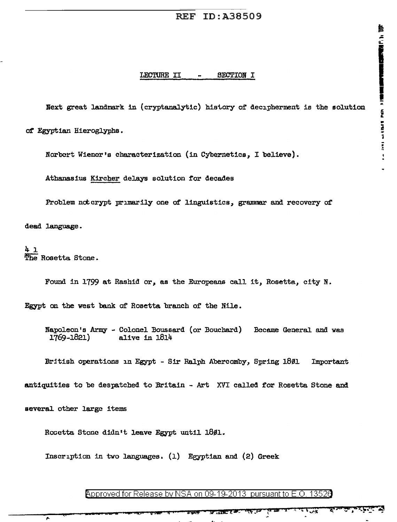Next great landmark in (cryptanalytic) history of decipherment is the solution

of Egyptian Hieroglyphs.

Norbert Wiener's characterization (in Cybernetics, I believe).

Athanasius Kircher delays solution for decades

Problem notcrypt primarily one of linguistics, grammar and recovery of

dead language.

41 The Rosetta Stone.

Found in 1799 at Rashid or, as the Europeans call it, Rosetta, city N.

Egypt on the west bank of Rosetta branch of the Nile.

Napoleon's Army - Colonel Boussard (or Bouchard) Became General and was 1769-1821) alive in 1814

British operations in Egypt - Sir Ralph Abercomby, Spring 1801 Important

antiquities to be despatched to Britain - Art XVI called for Rosetta Stone and

several other large items

÷.

Rosetta Stone didn't leave Egypt until 18ø1.

Inscription in two languages. (1) Egyptian and (2) Greek

Approved for Release by NSA on 09-19-2013 pursuant to E.O. 13526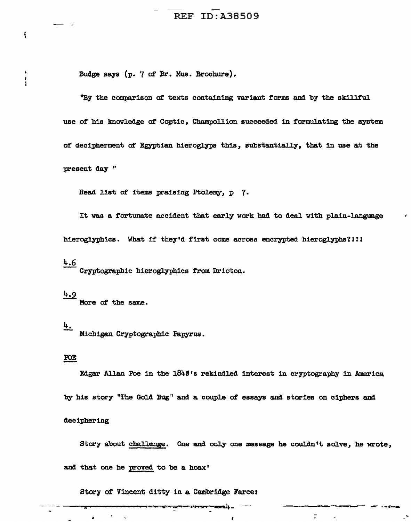Budge says (p. 7 of Br. Mus. Brochure).

"By the comparison of texts containing variant forms and by the skillful use of his knowledge of Coptic, Champollion succeeded in formulating the system of decipherment of Egyptian hieroglyps this, substantially, that in use at the present day "

Read list of items praising Ptolemy, p 7.

It was a fortunate accident that early work had to deal with plain-language hieroglyphics. What if they'd first come across encrypted hieroglyphs?!!!

## $4.6$

 $\ddot{\ddot{\phantom{a}}}\!\!\!$ 

 $\ddot{\bullet}$ 

i<br>I

Cryptographic hieroglyphics from Drioton.

# $4.9$

More of the same.

### <u>4.</u>

Michigan Cryptographic Papyrus.

#### POE

Edgar Allan Poe in the 1840's rekindled interest in cryptography in America

by his story "The Gold Bug" and a couple of essays and stories on ciphers and

#### deciphering

Story about challenge. One and only one message he couldn't solve, he wrote,

÷

and that one he proved to be a hoax'

Story of Vincent ditty in a Cambridge Farce: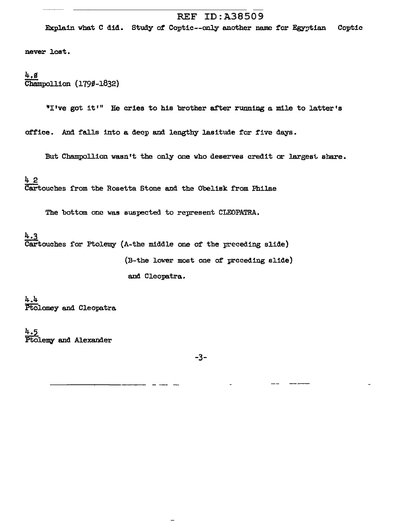## **REF ID:A38509**

Explain what C did. Study of Coptic--only another name for Egyptian Coptic

never lost.

### 4,ø Champollion (1790-1832)

"I've got it'" He cries to his brother after running a mile to latter's

office. And falls into a deep and lengthy lasitude for five days.

But Champollion wasn't the only one who deserves credit or largest share.

42 Cartouches from the Rosetta Stone and the Obelisk from Philae

The bottom one was suspected to represent CLEOPATRA.

4.3 Cartouches for Ptolemy (A-the middle one of the preceding slide) (B-the lower most one of proceding slide) and Cleopatra.

4.4 Ptolomey and Cleopatra

 $4.5$ Ptolemy and Alexander

 $-3-$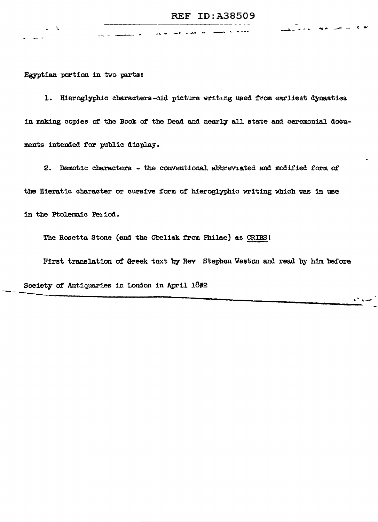Egyptian portion in two parts:

1. Hieroglyphic characters-old picture writing used from earliest dynasties in making copies of the Book of the Dead and nearly all state and ceremonial documents intended for public display.

-- - --- - \_ ... ..\_ -· .... ~· - ..\_\_\_ ... <sup>~</sup>\_ ... \_ .... - -.-.=.- .... ::: It. ..

2. Demotic characters .. the conventional abbreviated and modified form of the Hieratic character or cursive form ot hieroglyphic writing which was in use in the Ptolemaic Pe11od.

The Rosette. Stone (and the Obelisk from Philae) as CRIBSI

First translation at Greek text by Rev Stephen Weston and read by him before

--------~~-----------------~ ~ '\. \...:rt-....

Society of Antiquaries in London in April 1802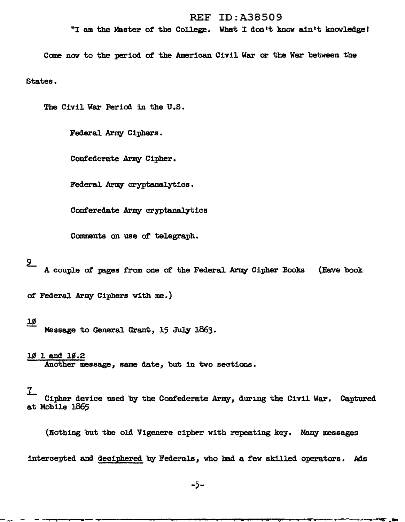### REF ID:A38509

"I am the Master of the College. What I don't know ain't knowledge!

Come now to the period of the American Civil War or the War between the

States.

The Civil War Period in the U.S.

Federal Army Ciphers.

Confederate Army Cipher.

Federal Army cryptanalytics.

Conferedate Army cryptanalytics

Comments on use of telegraph.

## $2$

A couple of pages from one of the Federal Army Cipher Books (Have book

*ot* Federal Army Ciphers vith me.)

#### lS

Message to General. Grant, 15 July 1863.

 $101$  and  $10.2$ 

Another message, same date, but in two sections.

#### $7\,$

Cipher device used by the Confederate Army, during the Civil War. Captured at Mobile 1865

(Nothing but the old Vigenere cipher with repeating key. Many messages

intercepted and deciphered by Federals *1* who bad a few skilled operators. Ads

-5-

- ---,....--:;,--- ..... ------------------.......---....--"T"-=--...,........,.~-...---.....- ......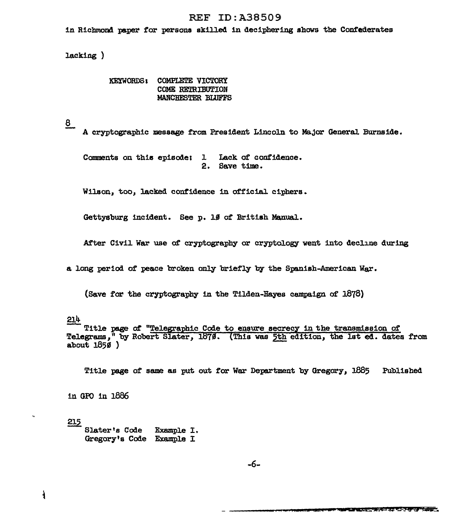### **REF ID: A38509**

in Richmond paper for persons skilled in deciphering shows the Confederates

lacking)

KEYWORDS: COMPLETE VICTORY COME RETRIBUTION MANCHESTER BLUFFS

 $8$ 

A cryptographic message from President Lincoln to Major General Burnside.

Comments on this episode; 1 Lack of confidence. 2. Save time.

Wilson, too, lacked confidence in official ciphers.

Gettysburg incident. See p. 10 of British Manual.

After Civil War use of cryptography or cryptology went into decline during

a long period of peace broken only briefly by the Spanish-American War.

(Save for the cryptography in the Tilden-Hayes campaign of 1878)

214

Title page of "Telegraphic Code to ensure secrecy in the transmission of Telegrams," by Robert Slater, 1879. (This was 5th edition, the lst ed. dates from about  $1850$ )

Title page of same as put out for War Department by Gregory, 1885 Published

in GPO in 1886

215 Slater's Code Example I. Gregory's Code Example I

-6-

ł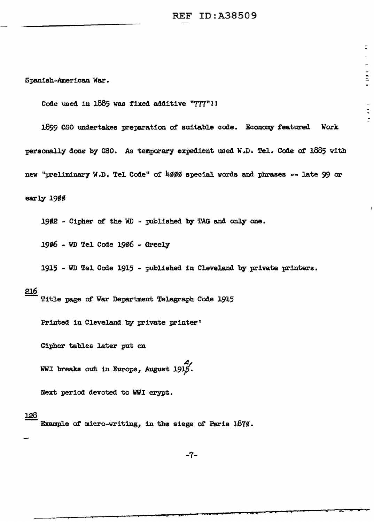REF ID:A38509

 $\equiv$ 

 $\frac{1}{2}$ 

 $\frac{1}{2}$ 

Spanish-American War.

Code used in 1885 was fixed additive "777"!J

1899 CSO undertakes preparation of suitable code. Economy featured Work personally done by CSO. As temporary expedient used W.D. Tel. Code of 1885 with new "preliminary W.D. Tel Code" of 4000 special words and phrases -- late 99 or early 1900

1982 - Cipher of the WD - published by TAG and only one.

19#6 - WD Tel Code 19#6 - Greely

1915 - WD Tel Code 1915 - published in Cleveland by private printers.

#### 216

Title page of War Department Telegraph Code 1915

Printed in Cleveland by private printer'

Cipher tab1es later put on

WWI breaks out in Europe, August  $1915$ .

Next period devoted to WWI crypt.

#### l.28

Example of micro-writing, in the siege of Paris 1870.

-7-